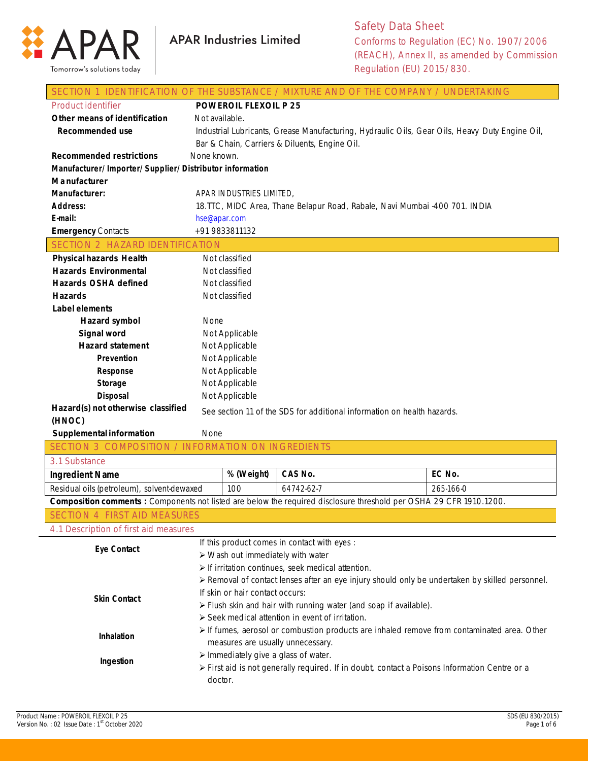

| SECTION 1 IDENTIFICATION OF THE SUBSTANCE / MIXTURE AND OF THE COMPANY / UNDERTAKING                                |                              |                                                  |                                                                            |                                                                                                 |  |
|---------------------------------------------------------------------------------------------------------------------|------------------------------|--------------------------------------------------|----------------------------------------------------------------------------|-------------------------------------------------------------------------------------------------|--|
| <b>Product identifier</b>                                                                                           | <b>POWEROIL FLEXOIL P 25</b> |                                                  |                                                                            |                                                                                                 |  |
| Other means of identification                                                                                       | Not available.               |                                                  |                                                                            |                                                                                                 |  |
| <b>Recommended use</b>                                                                                              |                              |                                                  |                                                                            | Industrial Lubricants, Grease Manufacturing, Hydraulic Oils, Gear Oils, Heavy Duty Engine Oil,  |  |
|                                                                                                                     |                              |                                                  | Bar & Chain, Carriers & Diluents, Engine Oil.                              |                                                                                                 |  |
| <b>Recommended restrictions</b>                                                                                     | None known.                  |                                                  |                                                                            |                                                                                                 |  |
| Manufacturer/Importer/Supplier/Distributor information                                                              |                              |                                                  |                                                                            |                                                                                                 |  |
| M a nufacturer                                                                                                      |                              |                                                  |                                                                            |                                                                                                 |  |
| Manufacturer:                                                                                                       |                              | APAR INDUSTRIES LIMITED,                         |                                                                            |                                                                                                 |  |
| <b>Address:</b>                                                                                                     |                              |                                                  | 18.TTC, MIDC Area, Thane Belapur Road, Rabale, Navi Mumbai -400 701. INDIA |                                                                                                 |  |
| E-mail:                                                                                                             |                              | hse@apar.com                                     |                                                                            |                                                                                                 |  |
| <b>Emergency Contacts</b>                                                                                           |                              | +91 9833811132                                   |                                                                            |                                                                                                 |  |
| SECTION 2 HAZARD IDENTIFICATION                                                                                     |                              |                                                  |                                                                            |                                                                                                 |  |
| <b>Physical hazards Health</b>                                                                                      |                              | Not classified                                   |                                                                            |                                                                                                 |  |
| <b>Hazards Environmental</b>                                                                                        |                              | Not classified                                   |                                                                            |                                                                                                 |  |
| <b>Hazards OSHA defined</b>                                                                                         |                              | Not classified                                   |                                                                            |                                                                                                 |  |
| <b>Hazards</b>                                                                                                      |                              | Not classified                                   |                                                                            |                                                                                                 |  |
| <b>Label elements</b>                                                                                               |                              |                                                  |                                                                            |                                                                                                 |  |
| Hazard symbol                                                                                                       | None                         |                                                  |                                                                            |                                                                                                 |  |
| Signal word                                                                                                         |                              | Not Applicable                                   |                                                                            |                                                                                                 |  |
| <b>Hazard statement</b>                                                                                             |                              | Not Applicable                                   |                                                                            |                                                                                                 |  |
| Prevention                                                                                                          |                              | Not Applicable                                   |                                                                            |                                                                                                 |  |
| Response                                                                                                            |                              | Not Applicable                                   |                                                                            |                                                                                                 |  |
| <b>Storage</b>                                                                                                      |                              |                                                  |                                                                            |                                                                                                 |  |
|                                                                                                                     |                              | Not Applicable                                   |                                                                            |                                                                                                 |  |
| <b>Disposal</b>                                                                                                     |                              | Not Applicable                                   |                                                                            |                                                                                                 |  |
| Hazard(s) not otherwise classified                                                                                  |                              |                                                  |                                                                            |                                                                                                 |  |
| (HNOC)                                                                                                              |                              |                                                  | See section 11 of the SDS for additional information on health hazards.    |                                                                                                 |  |
| Supplemental information                                                                                            | None                         |                                                  |                                                                            |                                                                                                 |  |
| SECTION 3 COMPOSITION / INFORMATION ON INGREDIENTS                                                                  |                              |                                                  |                                                                            |                                                                                                 |  |
| 3.1 Substance                                                                                                       |                              |                                                  |                                                                            |                                                                                                 |  |
| <b>Ingredient Name</b>                                                                                              |                              | % (Weight)                                       | CAS No.                                                                    | EC No.                                                                                          |  |
| Residual oils (petroleum), solvent-dewaxed                                                                          |                              | 100                                              | 64742-62-7                                                                 | 265-166-0                                                                                       |  |
| Composition comments : Components not listed are below the required disclosure threshold per OSHA 29 CFR 1910.1200. |                              |                                                  |                                                                            |                                                                                                 |  |
| <b>SECTION 4 FIRST AID MEASURES</b>                                                                                 |                              |                                                  |                                                                            |                                                                                                 |  |
| 4.1 Description of first aid measures                                                                               |                              |                                                  |                                                                            |                                                                                                 |  |
|                                                                                                                     |                              |                                                  | If this product comes in contact with eyes :                               |                                                                                                 |  |
| <b>Eye Contact</b>                                                                                                  |                              | $\triangleright$ Wash out immediately with water |                                                                            |                                                                                                 |  |
|                                                                                                                     |                              |                                                  | $\triangleright$ If irritation continues, seek medical attention.          |                                                                                                 |  |
|                                                                                                                     |                              |                                                  |                                                                            | > Removal of contact lenses after an eye injury should only be undertaken by skilled personnel. |  |
|                                                                                                                     |                              | If skin or hair contact occurs:                  |                                                                            |                                                                                                 |  |
| <b>Skin Contact</b>                                                                                                 |                              |                                                  | > Flush skin and hair with running water (and soap if available).          |                                                                                                 |  |
|                                                                                                                     |                              |                                                  | > Seek medical attention in event of irritation.                           |                                                                                                 |  |
|                                                                                                                     |                              |                                                  |                                                                            | > If fumes, aerosol or combustion products are inhaled remove from contaminated area. Other     |  |
| Inhalation                                                                                                          |                              |                                                  | measures are usually unnecessary.                                          |                                                                                                 |  |
|                                                                                                                     |                              |                                                  | > Immediately give a glass of water.                                       |                                                                                                 |  |
| Ingestion                                                                                                           |                              |                                                  |                                                                            | ≻ First aid is not generally required. If in doubt, contact a Poisons Information Centre or a   |  |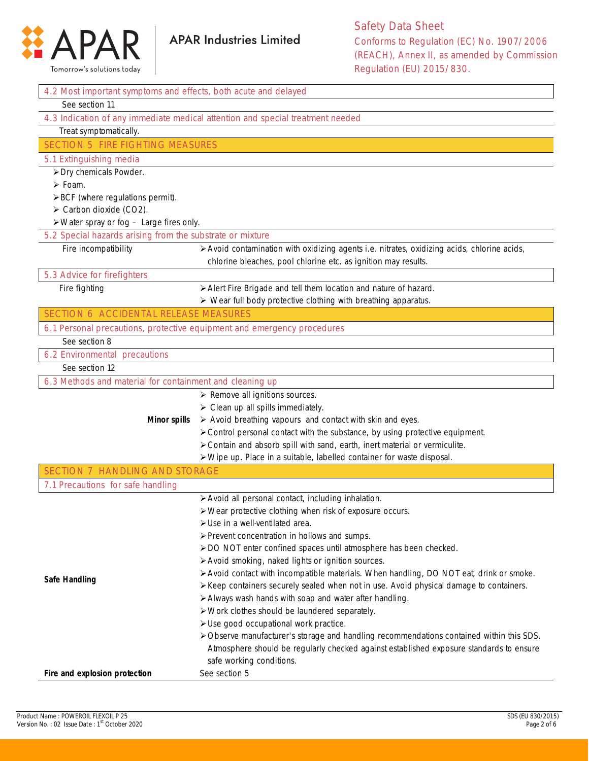

| 4.2 Most important symptoms and effects, both acute and delayed         |                                                                                                                         |
|-------------------------------------------------------------------------|-------------------------------------------------------------------------------------------------------------------------|
| See section 11                                                          |                                                                                                                         |
|                                                                         | 4.3 Indication of any immediate medical attention and special treatment needed                                          |
| Treat symptomatically.                                                  |                                                                                                                         |
| <b>SECTION 5 FIRE FIGHTING MEASURES</b>                                 |                                                                                                                         |
| 5.1 Extinguishing media                                                 |                                                                                                                         |
| > Dry chemicals Powder.                                                 |                                                                                                                         |
| $\triangleright$ Foam.                                                  |                                                                                                                         |
| >BCF (where regulations permit).                                        |                                                                                                                         |
| $\triangleright$ Carbon dioxide (CO2).                                  |                                                                                                                         |
| $\triangleright$ Water spray or fog $-$ Large fires only.               |                                                                                                                         |
| 5.2 Special hazards arising from the substrate or mixture               |                                                                                                                         |
| Fire incompatibility                                                    | > Avoid contamination with oxidizing agents i.e. nitrates, oxidizing acids, chlorine acids,                             |
|                                                                         | chlorine bleaches, pool chlorine etc. as ignition may results.                                                          |
| 5.3 Advice for firefighters                                             |                                                                                                                         |
| Fire fighting                                                           | > Alert Fire Brigade and tell them location and nature of hazard.                                                       |
|                                                                         | > Wear full body protective clothing with breathing apparatus.                                                          |
| <b>SECTION 6 ACCIDENTAL RELEASE MEASURES</b>                            |                                                                                                                         |
| 6.1 Personal precautions, protective equipment and emergency procedures |                                                                                                                         |
| See section 8                                                           |                                                                                                                         |
| 6.2 Environmental precautions                                           |                                                                                                                         |
| See section 12                                                          |                                                                                                                         |
| 6.3 Methods and material for containment and cleaning up                |                                                                                                                         |
|                                                                         | $\triangleright$ Remove all ignitions sources.                                                                          |
|                                                                         | $\triangleright$ Clean up all spills immediately.                                                                       |
| <b>Minor spills</b>                                                     | > Avoid breathing vapours and contact with skin and eyes.                                                               |
|                                                                         | > Control personal contact with the substance, by using protective equipment.                                           |
|                                                                         | > Contain and absorb spill with sand, earth, inert material or vermiculite.                                             |
|                                                                         | > Wipe up. Place in a suitable, labelled container for waste disposal.                                                  |
| <b>SECTION 7 HANDLING AND STORAGE</b>                                   |                                                                                                                         |
| 7.1 Precautions for safe handling                                       |                                                                                                                         |
|                                                                         | > Avoid all personal contact, including inhalation.                                                                     |
|                                                                         | > Wear protective clothing when risk of exposure occurs.                                                                |
|                                                                         | $\triangleright$ Use in a well-ventilated area.                                                                         |
|                                                                         | > Prevent concentration in hollows and sumps.                                                                           |
|                                                                         | > DO NOT enter confined spaces until atmosphere has been checked.<br>> Avoid smoking, naked lights or ignition sources. |
|                                                                         | > Avoid contact with incompatible materials. When handling, DO NOT eat, drink or smoke.                                 |
| <b>Safe Handling</b>                                                    | ≻ Keep containers securely sealed when not in use. Avoid physical damage to containers.                                 |
|                                                                         | > Always wash hands with soap and water after handling.                                                                 |
|                                                                         | > Work clothes should be laundered separately.                                                                          |
|                                                                         | > Use good occupational work practice.                                                                                  |
|                                                                         | > Observe manufacturer's storage and handling recommendations contained within this SDS.                                |
|                                                                         | Atmosphere should be regularly checked against established exposure standards to ensure                                 |
|                                                                         | safe working conditions.                                                                                                |
| Fire and explosion protection                                           | See section 5                                                                                                           |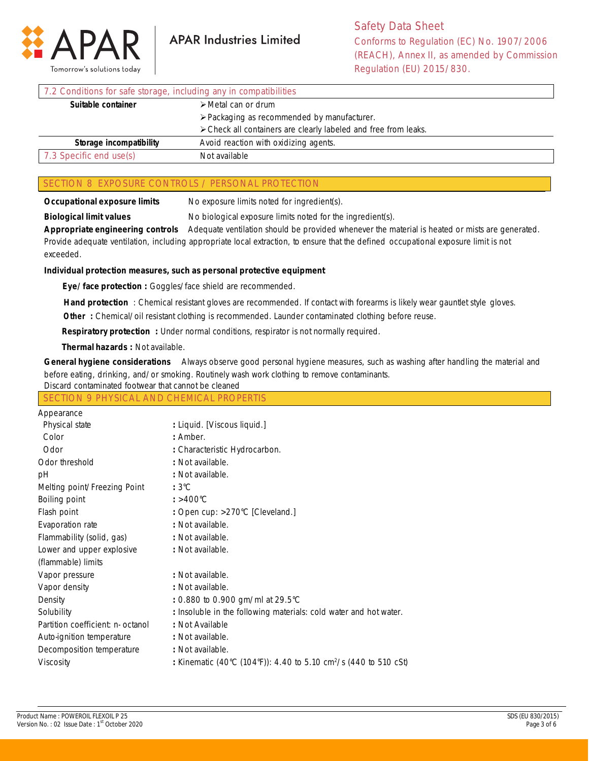

| 7.2 Conditions for safe storage, including any in compatibilities |                                                                 |  |
|-------------------------------------------------------------------|-----------------------------------------------------------------|--|
| Suitable container                                                | $\triangleright$ Metal can or drum                              |  |
|                                                                   | $\triangleright$ Packaging as recommended by manufacturer.      |  |
|                                                                   | > Check all containers are clearly labeled and free from leaks. |  |
| Storage incompatibility                                           | Avoid reaction with oxidizing agents.                           |  |
| 7.3 Specific end use(s)                                           | Not available                                                   |  |

## SECTION 8 EXPOSURE CONTROLS / PERSONAL PROTECTION

**Occupational exposure limits** No exposure limits noted for ingredient(s).

**Biological limit values** No biological exposure limits noted for the ingredient(s).

**Appropriate engineering controls** Adequate ventilation should be provided whenever the material is heated or mists are generated. Provide adequate ventilation, including appropriate local extraction, to ensure that the defined occupational exposure limit is not exceeded.

## **Individual protection measures, such as personal protective equipment**

 **Eye/face protection :** Goggles/face shield are recommended.

 **Hand protection** : Chemical resistant gloves are recommended. If contact with forearms is likely wear gauntlet style gloves.

**Other** : Chemical/oil resistant clothing is recommended. Launder contaminated clothing before reuse.

 **Respiratory protection :** Under normal conditions, respirator is not normally required.

 **Thermal hazards :** Not available.

**General hygiene considerations** Always observe good personal hygiene measures, such as washing after handling the material and before eating, drinking, and/or smoking. Routinely wash work clothing to remove contaminants.

| Discard contaminated footwear that cannot be cleaned |  |
|------------------------------------------------------|--|
|------------------------------------------------------|--|

|  | SECTION 9 PHYSICAL AND CHEMICAL PROPERTIS |
|--|-------------------------------------------|
|  |                                           |

| Appearance                        |                                                                              |
|-----------------------------------|------------------------------------------------------------------------------|
| Physical state                    | : Liquid. [Viscous liquid.]                                                  |
| Color                             | : Amber.                                                                     |
| Odor                              | : Characteristic Hydrocarbon.                                                |
| Odor threshold                    | : Not available.                                                             |
| рH                                | : Not available.                                                             |
| Melting point/Freezing Point      | $:3^{\circ}\mathrm{C}$                                                       |
| Boiling point                     | $: >400^{\circ}$ C                                                           |
| Flash point                       | : Open cup: >270°C [Cleveland.]                                              |
| Evaporation rate                  | : Not available.                                                             |
| Flammability (solid, gas)         | : Not available.                                                             |
| Lower and upper explosive         | : Not available.                                                             |
| (flammable) limits                |                                                                              |
| Vapor pressure                    | : Not available.                                                             |
| Vapor density                     | : Not available.                                                             |
| Density                           | : 0.880 to 0.900 gm/ml at 29.5°C                                             |
| Solubility                        | : Insoluble in the following materials: cold water and hot water.            |
| Partition coefficient: n- octanol | : Not Available                                                              |
| Auto-ignition temperature         | : Not available.                                                             |
| Decomposition temperature         | : Not available.                                                             |
| Viscosity                         | : Kinematic (40°C (104°F)): 4.40 to 5.10 cm <sup>2</sup> /s (440 to 510 cSt) |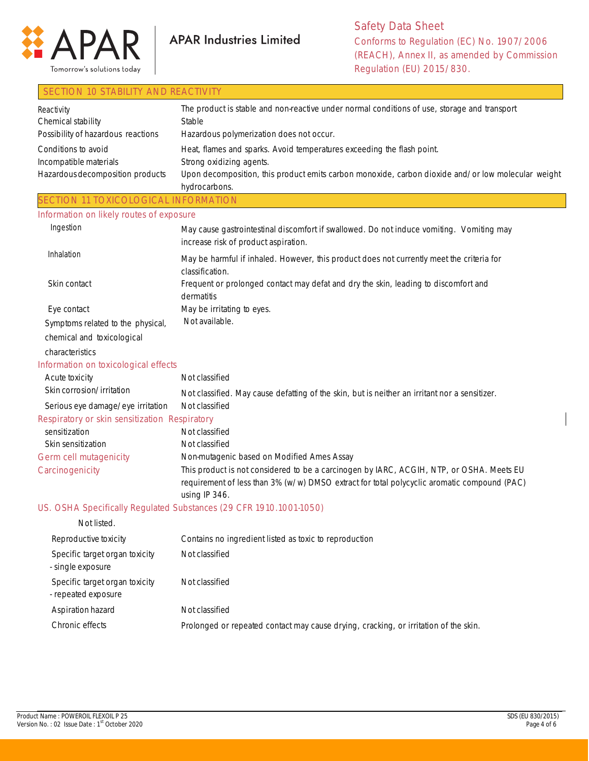

## SECTION 10 STABILITY AND REACTIVITY

| Reactivity                                    | The product is stable and non-reactive under normal conditions of use, storage and transport                                                                                                             |
|-----------------------------------------------|----------------------------------------------------------------------------------------------------------------------------------------------------------------------------------------------------------|
| Chemical stability                            | Stable                                                                                                                                                                                                   |
| Possibility of hazardous reactions            | Hazardous polymerization does not occur.                                                                                                                                                                 |
| Conditions to avoid                           | Heat, flames and sparks. Avoid temperatures exceeding the flash point.                                                                                                                                   |
| Incompatible materials                        | Strong oxidizing agents.                                                                                                                                                                                 |
| Hazardous decomposition products              | Upon decomposition, this product emits carbon monoxide, carbon dioxide and/or low molecular weight<br>hydrocarbons.                                                                                      |
| SECTION 11 TOXICOLOGICAL INFORMATION          |                                                                                                                                                                                                          |
| Information on likely routes of exposure      |                                                                                                                                                                                                          |
| Ingestion                                     | May cause gastrointestinal discomfort if swallowed. Do not induce vomiting. Vomiting may<br>increase risk of product aspiration.                                                                         |
| Inhalation                                    | May be harmful if inhaled. However, this product does not currently meet the criteria for<br>classification.                                                                                             |
| Skin contact                                  | Frequent or prolonged contact may defat and dry the skin, leading to discomfort and<br>dermatitis                                                                                                        |
| Eye contact                                   | May be irritating to eyes.                                                                                                                                                                               |
| Symptoms related to the physical,             | Not available.                                                                                                                                                                                           |
| chemical and toxicological                    |                                                                                                                                                                                                          |
| characteristics                               |                                                                                                                                                                                                          |
| Information on toxicological effects          |                                                                                                                                                                                                          |
| Acute toxicity                                | Not classified                                                                                                                                                                                           |
| Skin corrosion/irritation                     | Not classified. May cause defatting of the skin, but is neither an irritant nor a sensitizer.                                                                                                            |
| Serious eye damage/eye irritation             | Not classified                                                                                                                                                                                           |
| Respiratory or skin sensitization Respiratory |                                                                                                                                                                                                          |
| sensitization                                 | Not classified                                                                                                                                                                                           |
| Skin sensitization                            | Not classified                                                                                                                                                                                           |
| Germ cell mutagenicity                        | Non-mutagenic based on Modified Ames Assay                                                                                                                                                               |
| Carcinogenicity                               | This product is not considered to be a carcinogen by IARC, ACGIH, NTP, or OSHA. Meets EU<br>requirement of less than 3% (w/w) DMSO extract for total polycyclic aromatic compound (PAC)<br>using IP 346. |
|                                               | US. OSHA Specifically Regulated Substances (29 CFR 1910.1001-1050)                                                                                                                                       |
| Not listed.                                   |                                                                                                                                                                                                          |
| Reproductive toxicity                         | Contains no ingredient listed as toxic to reproduction                                                                                                                                                   |

| Specific target organ toxicity<br>- single exposure   | Not classified                                                                       |
|-------------------------------------------------------|--------------------------------------------------------------------------------------|
| Specific target organ toxicity<br>- repeated exposure | Not classified                                                                       |
| Aspiration hazard                                     | Not classified                                                                       |
| Chronic effects                                       | Prolonged or repeated contact may cause drying, cracking, or irritation of the skin. |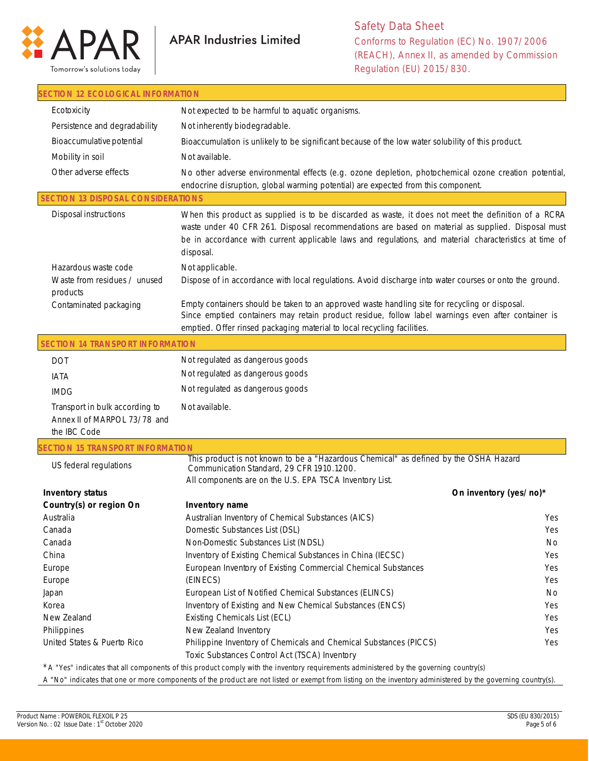

| SECTION 12 ECOLOGICAL INFORMATION                                              |                                                                                                                                                                                                                                                                                                                                  |                        |
|--------------------------------------------------------------------------------|----------------------------------------------------------------------------------------------------------------------------------------------------------------------------------------------------------------------------------------------------------------------------------------------------------------------------------|------------------------|
| Ecotoxicity                                                                    | Not expected to be harmful to aquatic organisms.                                                                                                                                                                                                                                                                                 |                        |
| Persistence and degradability                                                  | Not inherently biodegradable.                                                                                                                                                                                                                                                                                                    |                        |
| Bioaccumulative potential                                                      | Bioaccumulation is unlikely to be significant because of the low water solubility of this product.                                                                                                                                                                                                                               |                        |
| Mobility in soil                                                               | Not available.                                                                                                                                                                                                                                                                                                                   |                        |
| Other adverse effects                                                          | No other adverse environmental effects (e.g. ozone depletion, photochemical ozone creation potential,                                                                                                                                                                                                                            |                        |
|                                                                                | endocrine disruption, global warming potential) are expected from this component.                                                                                                                                                                                                                                                |                        |
| <b>SECTION 13 DISPOSAL CONSIDERATIONS</b>                                      |                                                                                                                                                                                                                                                                                                                                  |                        |
| <b>Disposal instructions</b>                                                   | When this product as supplied is to be discarded as waste, it does not meet the definition of a RCRA<br>waste under 40 CFR 261. Disposal recommendations are based on material as supplied. Disposal must<br>be in accordance with current applicable laws and regulations, and material characteristics at time of<br>disposal. |                        |
| Hazardous waste code                                                           | Not applicable.                                                                                                                                                                                                                                                                                                                  |                        |
| Waste from residues / unused<br>products                                       | Dispose of in accordance with local regulations. Avoid discharge into water courses or onto the ground.                                                                                                                                                                                                                          |                        |
| Contaminated packaging                                                         | Empty containers should be taken to an approved waste handling site for recycling or disposal.<br>Since emptied containers may retain product residue, follow label warnings even after container is<br>emptied. Offer rinsed packaging material to local recycling facilities.                                                  |                        |
| <b>SECTION 14 TRANSPORT INFORMATION</b>                                        |                                                                                                                                                                                                                                                                                                                                  |                        |
| <b>DOT</b>                                                                     | Not regulated as dangerous goods                                                                                                                                                                                                                                                                                                 |                        |
| <b>IATA</b>                                                                    | Not regulated as dangerous goods                                                                                                                                                                                                                                                                                                 |                        |
| <b>IMDG</b>                                                                    | Not regulated as dangerous goods                                                                                                                                                                                                                                                                                                 |                        |
| Transport in bulk according to<br>Annex II of MARPOL 73/78 and<br>the IBC Code | Not available.                                                                                                                                                                                                                                                                                                                   |                        |
| <b>ECTION 15 TRANSPORT INFORMATION</b>                                         |                                                                                                                                                                                                                                                                                                                                  |                        |
| US federal regulations                                                         | This product is not known to be a "Hazardous Chemical" as defined by the OSHA Hazard<br>Communication Standard, 29 CFR 1910.1200.<br>All components are on the U.S. EPA TSCA Inventory List.                                                                                                                                     |                        |
| <b>Inventory status</b>                                                        |                                                                                                                                                                                                                                                                                                                                  | On inventory (yes/no)* |
| Country(s) or region On                                                        | Inventory name                                                                                                                                                                                                                                                                                                                   |                        |
| Australia                                                                      | Australian Inventory of Chemical Substances (AICS)                                                                                                                                                                                                                                                                               | Yes                    |
| Canada                                                                         | Domestic Substances List (DSL)                                                                                                                                                                                                                                                                                                   | Yes                    |
| Canada                                                                         | Non-Domestic Substances List (NDSL)                                                                                                                                                                                                                                                                                              | No                     |
| China                                                                          | Inventory of Existing Chemical Substances in China (IECSC)                                                                                                                                                                                                                                                                       | Yes                    |
| Europe                                                                         | European Inventory of Existing Commercial Chemical Substances                                                                                                                                                                                                                                                                    | Yes                    |
| Europe                                                                         | (EINECS)                                                                                                                                                                                                                                                                                                                         | Yes                    |
| Japan                                                                          | European List of Notified Chemical Substances (ELINCS)                                                                                                                                                                                                                                                                           | No                     |
| Korea                                                                          | Inventory of Existing and New Chemical Substances (ENCS)                                                                                                                                                                                                                                                                         | Yes                    |
| New Zealand                                                                    | Existing Chemicals List (ECL)                                                                                                                                                                                                                                                                                                    | Yes                    |
| Philippines                                                                    | New Zealand Inventory                                                                                                                                                                                                                                                                                                            | Yes                    |
| United States & Puerto Rico                                                    | Philippine Inventory of Chemicals and Chemical Substances (PICCS)<br>Toxic Substances Control Act (TSCA) Inventory                                                                                                                                                                                                               | Yes                    |
|                                                                                |                                                                                                                                                                                                                                                                                                                                  |                        |

\*A "Yes" indicates that all components of this product comply with the inventory requirements administered by the governing country(s)

A "No" indicates that one or more components of the product are not listed or exempt from listing on the inventory administered by the governing country(s).